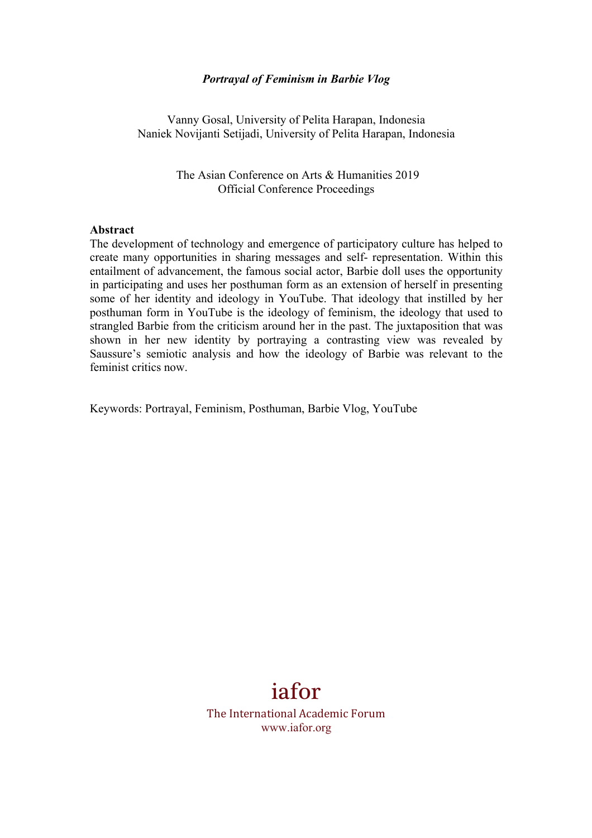#### *Portrayal of Feminism in Barbie Vlog*

Vanny Gosal, University of Pelita Harapan, Indonesia Naniek Novijanti Setijadi, University of Pelita Harapan, Indonesia

> The Asian Conference on Arts & Humanities 2019 Official Conference Proceedings

#### **Abstract**

The development of technology and emergence of participatory culture has helped to create many opportunities in sharing messages and self- representation. Within this entailment of advancement, the famous social actor, Barbie doll uses the opportunity in participating and uses her posthuman form as an extension of herself in presenting some of her identity and ideology in YouTube. That ideology that instilled by her posthuman form in YouTube is the ideology of feminism, the ideology that used to strangled Barbie from the criticism around her in the past. The juxtaposition that was shown in her new identity by portraying a contrasting view was revealed by Saussure's semiotic analysis and how the ideology of Barbie was relevant to the feminist critics now.

Keywords: Portrayal, Feminism, Posthuman, Barbie Vlog, YouTube

# iafor

The International Academic Forum www.iafor.org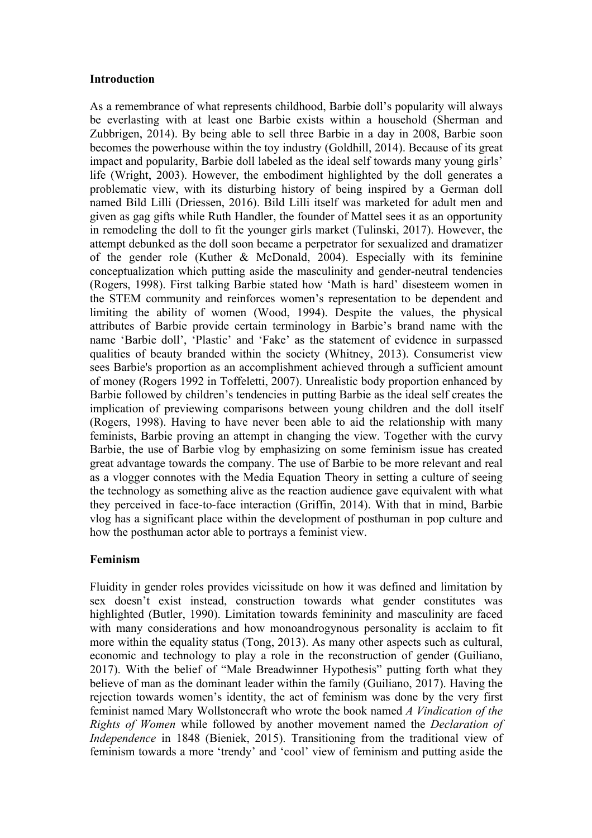#### **Introduction**

As a remembrance of what represents childhood, Barbie doll's popularity will always be everlasting with at least one Barbie exists within a household (Sherman and Zubbrigen, 2014). By being able to sell three Barbie in a day in 2008, Barbie soon becomes the powerhouse within the toy industry (Goldhill, 2014). Because of its great impact and popularity, Barbie doll labeled as the ideal self towards many young girls' life (Wright, 2003). However, the embodiment highlighted by the doll generates a problematic view, with its disturbing history of being inspired by a German doll named Bild Lilli (Driessen, 2016). Bild Lilli itself was marketed for adult men and given as gag gifts while Ruth Handler, the founder of Mattel sees it as an opportunity in remodeling the doll to fit the younger girls market (Tulinski, 2017). However, the attempt debunked as the doll soon became a perpetrator for sexualized and dramatizer of the gender role (Kuther & McDonald, 2004). Especially with its feminine conceptualization which putting aside the masculinity and gender-neutral tendencies (Rogers, 1998). First talking Barbie stated how 'Math is hard' disesteem women in the STEM community and reinforces women's representation to be dependent and limiting the ability of women (Wood, 1994). Despite the values, the physical attributes of Barbie provide certain terminology in Barbie's brand name with the name 'Barbie doll', 'Plastic' and 'Fake' as the statement of evidence in surpassed qualities of beauty branded within the society (Whitney, 2013). Consumerist view sees Barbie's proportion as an accomplishment achieved through a sufficient amount of money (Rogers 1992 in Toffeletti, 2007). Unrealistic body proportion enhanced by Barbie followed by children's tendencies in putting Barbie as the ideal self creates the implication of previewing comparisons between young children and the doll itself (Rogers, 1998). Having to have never been able to aid the relationship with many feminists, Barbie proving an attempt in changing the view. Together with the curvy Barbie, the use of Barbie vlog by emphasizing on some feminism issue has created great advantage towards the company. The use of Barbie to be more relevant and real as a vlogger connotes with the Media Equation Theory in setting a culture of seeing the technology as something alive as the reaction audience gave equivalent with what they perceived in face-to-face interaction (Griffin, 2014). With that in mind, Barbie vlog has a significant place within the development of posthuman in pop culture and how the posthuman actor able to portrays a feminist view.

### **Feminism**

Fluidity in gender roles provides vicissitude on how it was defined and limitation by sex doesn't exist instead, construction towards what gender constitutes was highlighted (Butler, 1990). Limitation towards femininity and masculinity are faced with many considerations and how monoandrogynous personality is acclaim to fit more within the equality status (Tong, 2013). As many other aspects such as cultural, economic and technology to play a role in the reconstruction of gender (Guiliano, 2017). With the belief of "Male Breadwinner Hypothesis" putting forth what they believe of man as the dominant leader within the family (Guiliano, 2017). Having the rejection towards women's identity, the act of feminism was done by the very first feminist named Mary Wollstonecraft who wrote the book named *A Vindication of the Rights of Women* while followed by another movement named the *Declaration of Independence* in 1848 (Bieniek, 2015). Transitioning from the traditional view of feminism towards a more 'trendy' and 'cool' view of feminism and putting aside the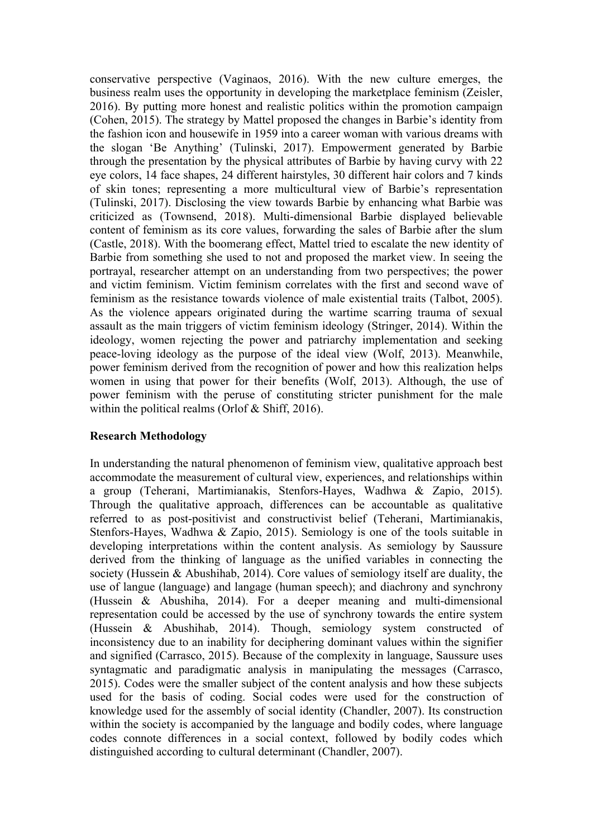conservative perspective (Vaginaos, 2016). With the new culture emerges, the business realm uses the opportunity in developing the marketplace feminism (Zeisler, 2016). By putting more honest and realistic politics within the promotion campaign (Cohen, 2015). The strategy by Mattel proposed the changes in Barbie's identity from the fashion icon and housewife in 1959 into a career woman with various dreams with the slogan 'Be Anything' (Tulinski, 2017). Empowerment generated by Barbie through the presentation by the physical attributes of Barbie by having curvy with 22 eye colors, 14 face shapes, 24 different hairstyles, 30 different hair colors and 7 kinds of skin tones; representing a more multicultural view of Barbie's representation (Tulinski, 2017). Disclosing the view towards Barbie by enhancing what Barbie was criticized as (Townsend, 2018). Multi-dimensional Barbie displayed believable content of feminism as its core values, forwarding the sales of Barbie after the slum (Castle, 2018). With the boomerang effect, Mattel tried to escalate the new identity of Barbie from something she used to not and proposed the market view. In seeing the portrayal, researcher attempt on an understanding from two perspectives; the power and victim feminism. Victim feminism correlates with the first and second wave of feminism as the resistance towards violence of male existential traits (Talbot, 2005). As the violence appears originated during the wartime scarring trauma of sexual assault as the main triggers of victim feminism ideology (Stringer, 2014). Within the ideology, women rejecting the power and patriarchy implementation and seeking peace-loving ideology as the purpose of the ideal view (Wolf, 2013). Meanwhile, power feminism derived from the recognition of power and how this realization helps women in using that power for their benefits (Wolf, 2013). Although, the use of power feminism with the peruse of constituting stricter punishment for the male within the political realms (Orlof & Shiff, 2016).

### **Research Methodology**

In understanding the natural phenomenon of feminism view, qualitative approach best accommodate the measurement of cultural view, experiences, and relationships within a group (Teherani, Martimianakis, Stenfors-Hayes, Wadhwa & Zapio, 2015). Through the qualitative approach, differences can be accountable as qualitative referred to as post-positivist and constructivist belief (Teherani, Martimianakis, Stenfors-Hayes, Wadhwa & Zapio, 2015). Semiology is one of the tools suitable in developing interpretations within the content analysis. As semiology by Saussure derived from the thinking of language as the unified variables in connecting the society (Hussein & Abushihab, 2014). Core values of semiology itself are duality, the use of langue (language) and langage (human speech); and diachrony and synchrony (Hussein & Abushiha, 2014). For a deeper meaning and multi-dimensional representation could be accessed by the use of synchrony towards the entire system (Hussein & Abushihab, 2014). Though, semiology system constructed of inconsistency due to an inability for deciphering dominant values within the signifier and signified (Carrasco, 2015). Because of the complexity in language, Saussure uses syntagmatic and paradigmatic analysis in manipulating the messages (Carrasco, 2015). Codes were the smaller subject of the content analysis and how these subjects used for the basis of coding. Social codes were used for the construction of knowledge used for the assembly of social identity (Chandler, 2007). Its construction within the society is accompanied by the language and bodily codes, where language codes connote differences in a social context, followed by bodily codes which distinguished according to cultural determinant (Chandler, 2007).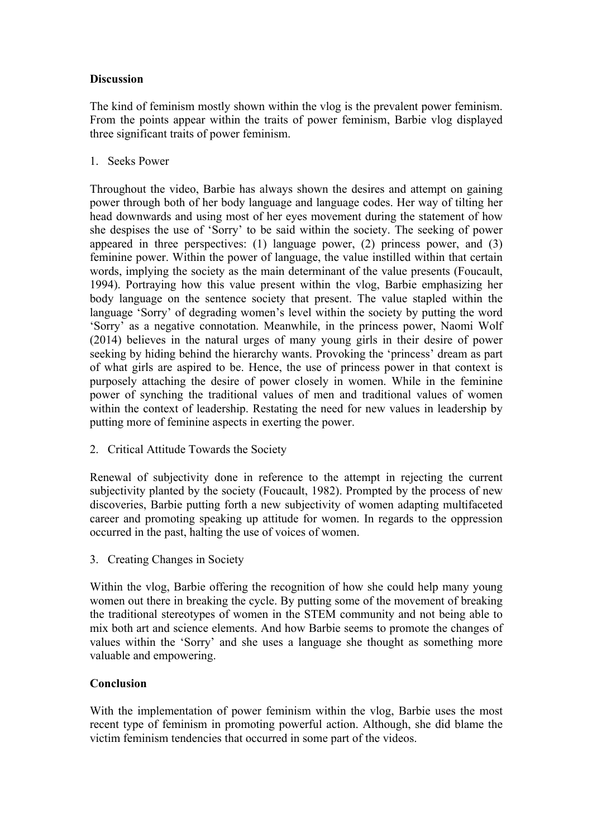## **Discussion**

The kind of feminism mostly shown within the vlog is the prevalent power feminism. From the points appear within the traits of power feminism, Barbie vlog displayed three significant traits of power feminism.

1. Seeks Power

Throughout the video, Barbie has always shown the desires and attempt on gaining power through both of her body language and language codes. Her way of tilting her head downwards and using most of her eyes movement during the statement of how she despises the use of 'Sorry' to be said within the society. The seeking of power appeared in three perspectives: (1) language power, (2) princess power, and (3) feminine power. Within the power of language, the value instilled within that certain words, implying the society as the main determinant of the value presents (Foucault, 1994). Portraying how this value present within the vlog, Barbie emphasizing her body language on the sentence society that present. The value stapled within the language 'Sorry' of degrading women's level within the society by putting the word 'Sorry' as a negative connotation. Meanwhile, in the princess power, Naomi Wolf (2014) believes in the natural urges of many young girls in their desire of power seeking by hiding behind the hierarchy wants. Provoking the 'princess' dream as part of what girls are aspired to be. Hence, the use of princess power in that context is purposely attaching the desire of power closely in women. While in the feminine power of synching the traditional values of men and traditional values of women within the context of leadership. Restating the need for new values in leadership by putting more of feminine aspects in exerting the power.

2. Critical Attitude Towards the Society

Renewal of subjectivity done in reference to the attempt in rejecting the current subjectivity planted by the society (Foucault, 1982). Prompted by the process of new discoveries, Barbie putting forth a new subjectivity of women adapting multifaceted career and promoting speaking up attitude for women. In regards to the oppression occurred in the past, halting the use of voices of women.

3. Creating Changes in Society

Within the vlog, Barbie offering the recognition of how she could help many young women out there in breaking the cycle. By putting some of the movement of breaking the traditional stereotypes of women in the STEM community and not being able to mix both art and science elements. And how Barbie seems to promote the changes of values within the 'Sorry' and she uses a language she thought as something more valuable and empowering.

## **Conclusion**

With the implementation of power feminism within the vlog, Barbie uses the most recent type of feminism in promoting powerful action. Although, she did blame the victim feminism tendencies that occurred in some part of the videos.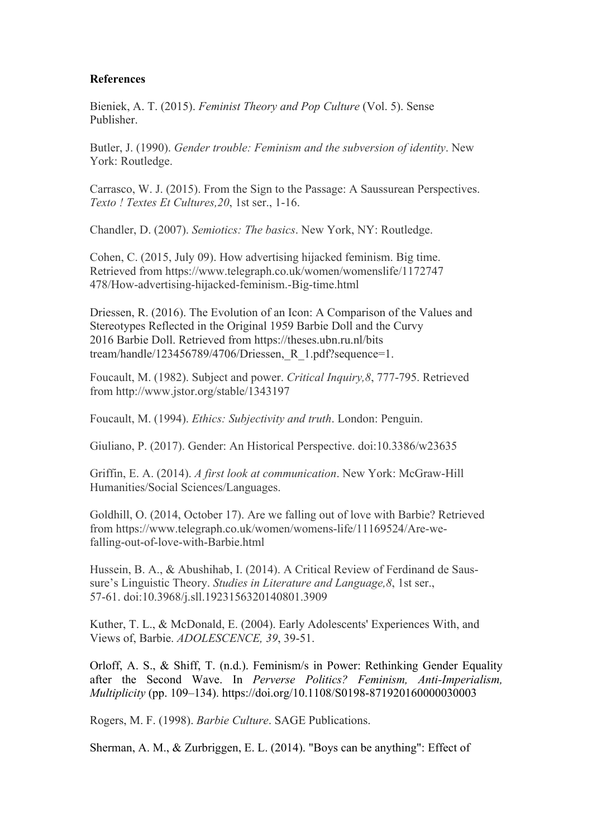### **References**

Bieniek, A. T. (2015). *Feminist Theory and Pop Culture* (Vol. 5). Sense Publisher.

Butler, J. (1990). *Gender trouble: Feminism and the subversion of identity*. New York: Routledge.

Carrasco, W. J. (2015). From the Sign to the Passage: A Saussurean Perspectives. *Texto ! Textes Et Cultures,20*, 1st ser., 1-16.

Chandler, D. (2007). *Semiotics: The basics*. New York, NY: Routledge.

Cohen, C. (2015, July 09). How advertising hijacked feminism. Big time. Retrieved from https://www.telegraph.co.uk/women/womenslife/1172747 478/How-advertising-hijacked-feminism.-Big-time.html

Driessen, R. (2016). The Evolution of an Icon: A Comparison of the Values and Stereotypes Reflected in the Original 1959 Barbie Doll and the Curvy 2016 Barbie Doll. Retrieved from https://theses.ubn.ru.nl/bits tream/handle/123456789/4706/Driessen, R\_1.pdf?sequence=1.

Foucault, M. (1982). Subject and power. *Critical Inquiry,8*, 777-795. Retrieved from http://www.jstor.org/stable/1343197

Foucault, M. (1994). *Ethics: Subjectivity and truth*. London: Penguin.

Giuliano, P. (2017). Gender: An Historical Perspective. doi:10.3386/w23635

Griffin, E. A. (2014). *A first look at communication*. New York: McGraw-Hill Humanities/Social Sciences/Languages.

Goldhill, O. (2014, October 17). Are we falling out of love with Barbie? Retrieved from https://www.telegraph.co.uk/women/womens-life/11169524/Are-wefalling-out-of-love-with-Barbie.html

Hussein, B. A., & Abushihab, I. (2014). A Critical Review of Ferdinand de Saussure's Linguistic Theory. *Studies in Literature and Language,8*, 1st ser., 57-61. doi:10.3968/j.sll.1923156320140801.3909

Kuther, T. L., & McDonald, E. (2004). Early Adolescents' Experiences With, and Views of, Barbie. *ADOLESCENCE, 39*, 39-51.

Orloff, A. S., & Shiff, T. (n.d.). Feminism/s in Power: Rethinking Gender Equality after the Second Wave. In *Perverse Politics? Feminism, Anti-Imperialism, Multiplicity* (pp. 109–134). https://doi.org/10.1108/S0198-871920160000030003

Rogers, M. F. (1998). *Barbie Culture*. SAGE Publications.

Sherman, A. M., & Zurbriggen, E. L. (2014). "Boys can be anything": Effect of